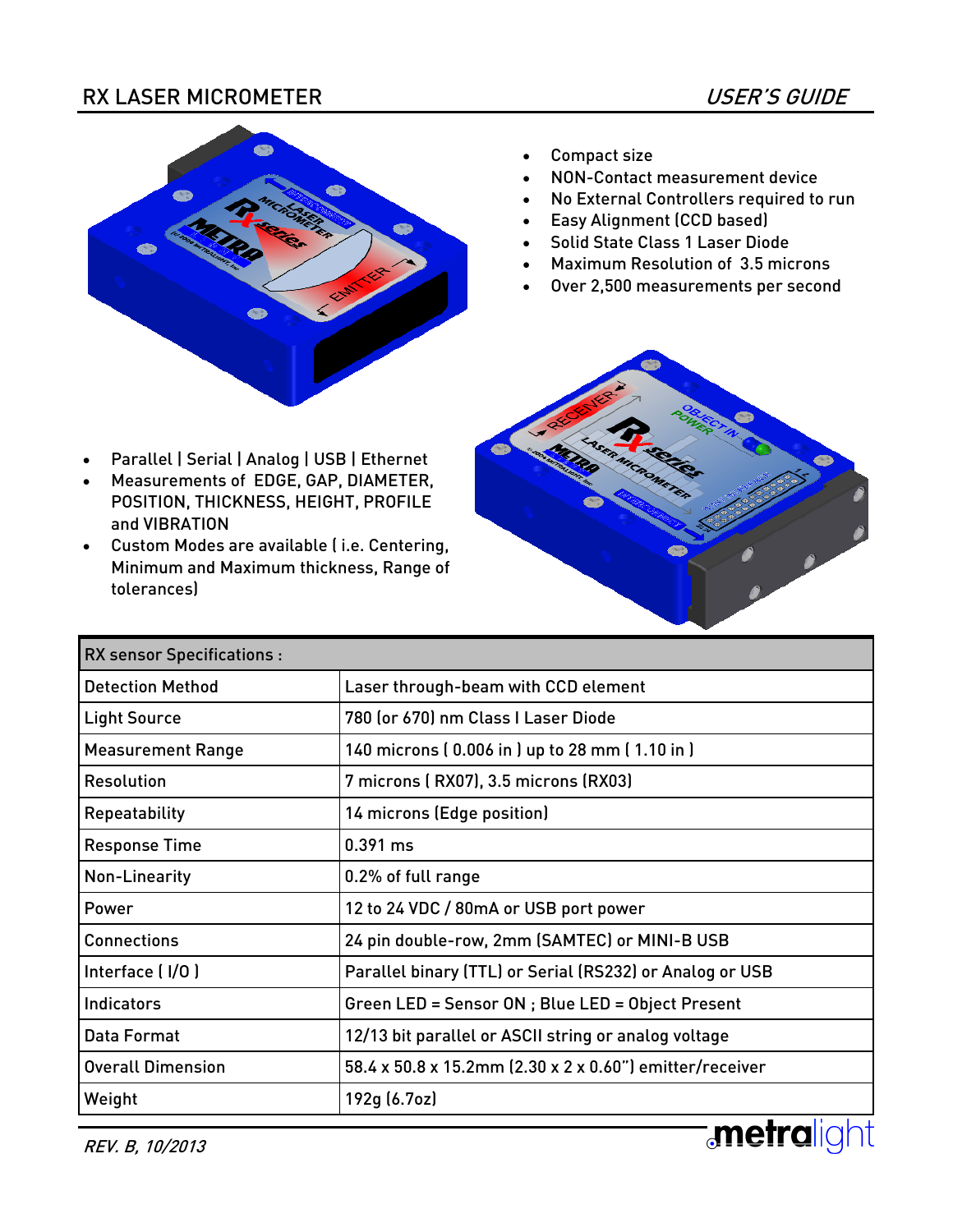### RX LASER MICROMETER USER'S GUIDE



 Parallel | Serial | Analog | USB | Ethernet Measurements of EDGE, GAP, DIAMETER, POSITION, THICKNESS, HEIGHT, PROFILE

 Custom Modes are available ( i.e. Centering, Minimum and Maximum thickness, Range of

and VIBRATION

tolerances)

- Compact size
- NON-Contact measurement device
- No External Controllers required to run
- Easy Alignment (CCD based)
- Solid State Class 1 Laser Diode
- Maximum Resolution of 3.5 microns
- Over 2,500 measurements per second



| <b>RX sensor Specifications:</b> |                                                          |
|----------------------------------|----------------------------------------------------------|
| <b>Detection Method</b>          | Laser through-beam with CCD element                      |
| <b>Light Source</b>              | 780 (or 670) nm Class I Laser Diode                      |
| <b>Measurement Range</b>         | 140 microns (0.006 in) up to 28 mm (1.10 in)             |
| <b>Resolution</b>                | 7 microns (RX07), 3.5 microns (RX03)                     |
| Repeatability                    | 14 microns (Edge position)                               |
| <b>Response Time</b>             | 0.391 ms                                                 |
| Non-Linearity                    | 0.2% of full range                                       |
| Power                            | 12 to 24 VDC / 80mA or USB port power                    |
| <b>Connections</b>               | 24 pin double-row, 2mm (SAMTEC) or MINI-B USB            |
| Interface (I/O)                  | Parallel binary (TTL) or Serial (RS232) or Analog or USB |
| <b>Indicators</b>                | Green LED = Sensor ON ; Blue LED = Object Present        |
| Data Format                      | 12/13 bit parallel or ASCII string or analog voltage     |
| <b>Overall Dimension</b>         | 58.4 x 50.8 x 15.2mm (2.30 x 2 x 0.60") emitter/receiver |
| Weight                           | 192g (6.7oz)                                             |
| <i>RFV R 10/2013</i>             | metra                                                    |

REV. B, 10/2013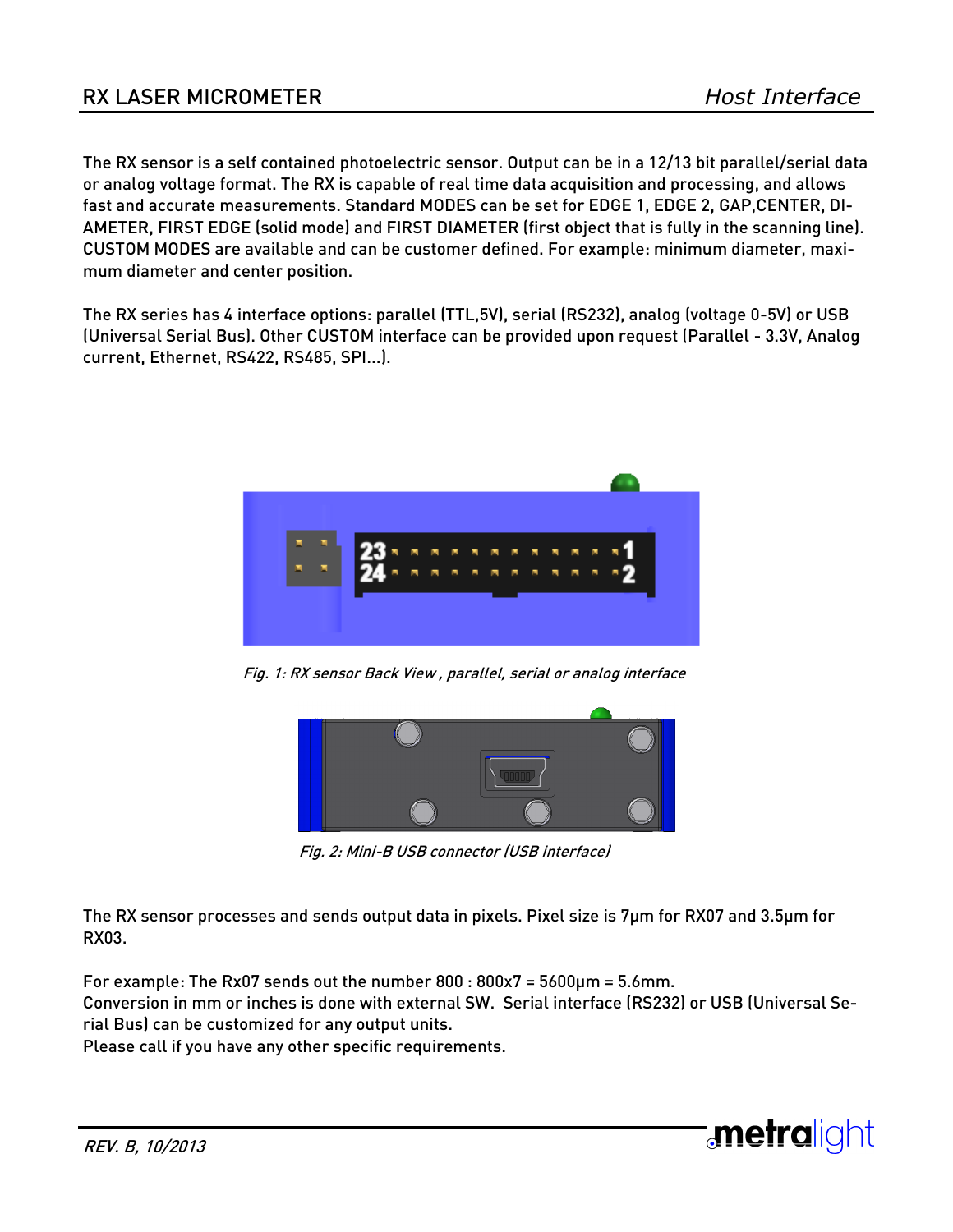**:metralight** 

The RX sensor is a self contained photoelectric sensor. Output can be in a 12/13 bit parallel/serial data or analog voltage format. The RX is capable of real time data acquisition and processing, and allows fast and accurate measurements. Standard MODES can be set for EDGE 1, EDGE 2, GAP,CENTER, DI-AMETER, FIRST EDGE (solid mode) and FIRST DIAMETER (first object that is fully in the scanning line). CUSTOM MODES are available and can be customer defined. For example: minimum diameter, maximum diameter and center position.

The RX series has 4 interface options: parallel (TTL,5V), serial (RS232), analog (voltage 0-5V) or USB (Universal Serial Bus). Other CUSTOM interface can be provided upon request (Parallel - 3.3V, Analog current, Ethernet, RS422, RS485, SPI...).



Fig. 1: RX sensor Back View , parallel, serial or analog interface



Fig. 2: Mini-B USB connector (USB interface)

The RX sensor processes and sends output data in pixels. Pixel size is 7µm for RX07 and 3.5µm for RX03.

For example: The Rx07 sends out the number 800 : 800x7 = 5600µm = 5.6mm.

Conversion in mm or inches is done with external SW. Serial interface (RS232) or USB (Universal Serial Bus) can be customized for any output units.

Please call if you have any other specific requirements.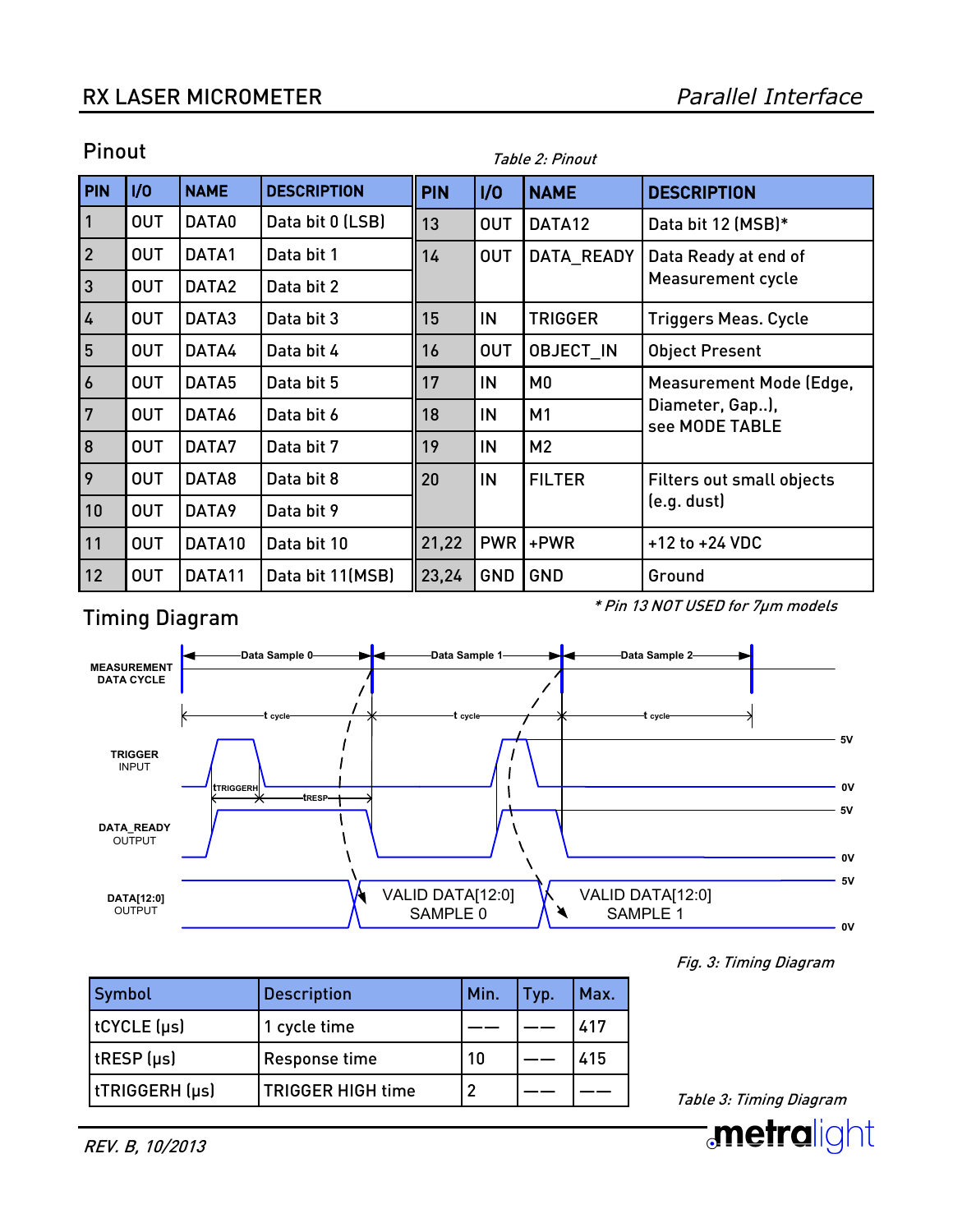### RX LASER MICROMETER

| <b>PIN</b>       | 1/0        | <b>NAME</b> | <b>DESCRIPTION</b> | <b>PIN</b> | 1/0        | <b>NAME</b>      | <b>DESCRIPTION</b>                |
|------------------|------------|-------------|--------------------|------------|------------|------------------|-----------------------------------|
| $\mathbf{1}$     | <b>OUT</b> | DATA0       | Data bit 0 (LSB)   | 13         | <b>OUT</b> | DATA12           | Data bit 12 (MSB)*                |
| $\overline{2}$   | <b>OUT</b> | DATA1       | Data bit 1         | 14         | <b>OUT</b> | DATA_READY       | Data Ready at end of              |
| <sub>3</sub>     | <b>OUT</b> | DATA2       | Data bit 2         |            |            |                  | <b>Measurement cycle</b>          |
| $\overline{4}$   | <b>OUT</b> | DATA3       | Data bit 3         | 15         | IN         | <b>TRIGGER</b>   | <b>Triggers Meas. Cycle</b>       |
| $5\overline{)}$  | <b>OUT</b> | DATA4       | Data bit 4         | 16         | <b>OUT</b> | <b>OBJECT IN</b> | <b>Object Present</b>             |
| $\boldsymbol{6}$ | <b>OUT</b> | DATA5       | Data bit 5         | 17         | IN         | MO               | <b>Measurement Mode (Edge,</b>    |
| 7                | <b>OUT</b> | DATA6       | Data bit 6         | 18         | IN         | M1               | Diameter, Gap),<br>see MODE TABLE |
| 8                | <b>OUT</b> | DATA7       | Data bit 7         | 19         | IN         | M <sub>2</sub>   |                                   |
| 9                | <b>OUT</b> | DATA8       | Data bit 8         | 20         | IN         | <b>FILTER</b>    | <b>Filters out small objects</b>  |
| 10               | <b>OUT</b> | DATA9       | Data bit 9         |            |            |                  | (e.g. dust)                       |
| 11               | <b>OUT</b> | DATA10      | Data bit 10        | 21,22      | <b>PWR</b> | +PWR             | $+12$ to $+24$ VDC                |
| 12               | <b>OUT</b> | DATA11      | Data bit 11(MSB)   | 23,24      | GND        | GND              | Ground                            |

Table 2: Pinout

### Pinout

# Timing Diagram

\* Pin 13 NOT USED for 7µm models



| Symbol          | <b>Description</b>       | Min. | <b>Typ</b> | Max. |
|-----------------|--------------------------|------|------------|------|
| tCYCLE (µs)     | 1 cycle time             |      |            | 417  |
| $t$ RESP $(us)$ | Response time            | 10   |            | 415  |
| tTRIGGERH (µs)  | <b>TRIGGER HIGH time</b> |      |            |      |

Fig. 3: Timing Diagram

Table 3: Timing Diagram

![](_page_2_Picture_10.jpeg)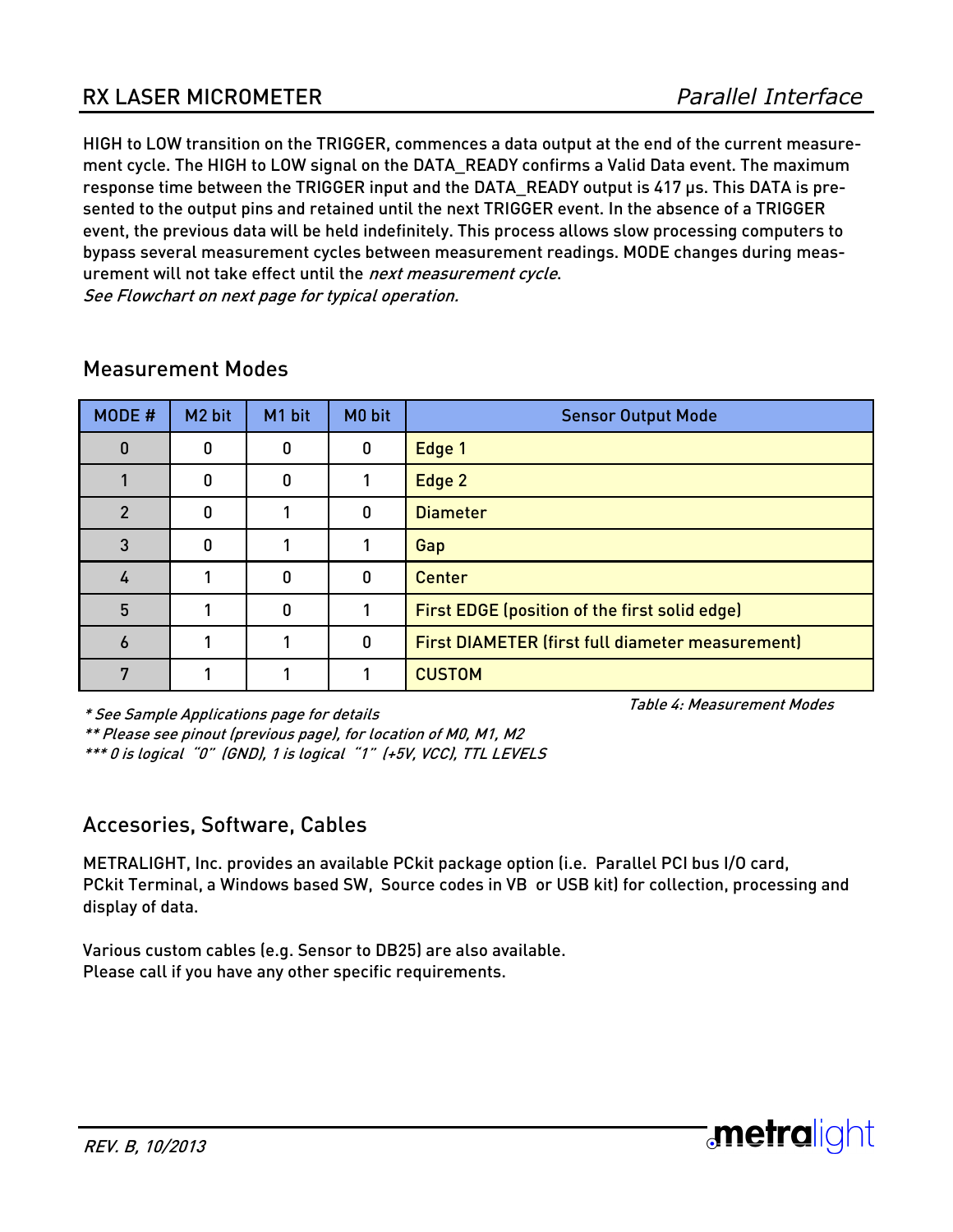HIGH to LOW transition on the TRIGGER, commences a data output at the end of the current measurement cycle. The HIGH to LOW signal on the DATA\_READY confirms a Valid Data event. The maximum response time between the TRIGGER input and the DATA\_READY output is 417 µs. This DATA is presented to the output pins and retained until the next TRIGGER event. In the absence of a TRIGGER event, the previous data will be held indefinitely. This process allows slow processing computers to bypass several measurement cycles between measurement readings. MODE changes during measurement will not take effect until the next measurement cycle. See Flowchart on next page for typical operation.

| MODE #         | M <sub>2</sub> bit | M1 bit | M0 bit   | <b>Sensor Output Mode</b>                               |  |
|----------------|--------------------|--------|----------|---------------------------------------------------------|--|
| 0              | 0                  | O      | 0        | Edge 1                                                  |  |
|                | 0                  | 0      |          | Edge 2                                                  |  |
| $\overline{2}$ | 0                  |        | O        | <b>Diameter</b>                                         |  |
| 3              | 0                  |        |          | Gap                                                     |  |
| 4              |                    | 0      | $\Omega$ | <b>Center</b>                                           |  |
| 5              |                    | 0      |          | First EDGE (position of the first solid edge)           |  |
| 6              |                    |        | $\Omega$ | <b>First DIAMETER (first full diameter measurement)</b> |  |
| 7              |                    |        |          | <b>CUSTOM</b>                                           |  |

### Measurement Modes

\* See Sample Applications page for details

Table 4: Measurement Modes

**:metralight** 

\*\* Please see pinout (previous page), for location of M0, M1, M2

\*\*\* 0 is logical "0" (GND), 1 is logical "1" (+5V, VCC), TTL LEVELS

### Accesories, Software, Cables

METRALIGHT, Inc. provides an available PCkit package option (i.e. Parallel PCI bus I/O card, PCkit Terminal, a Windows based SW, Source codes in VB or USB kit) for collection, processing and display of data.

Various custom cables (e.g. Sensor to DB25) are also available. Please call if you have any other specific requirements.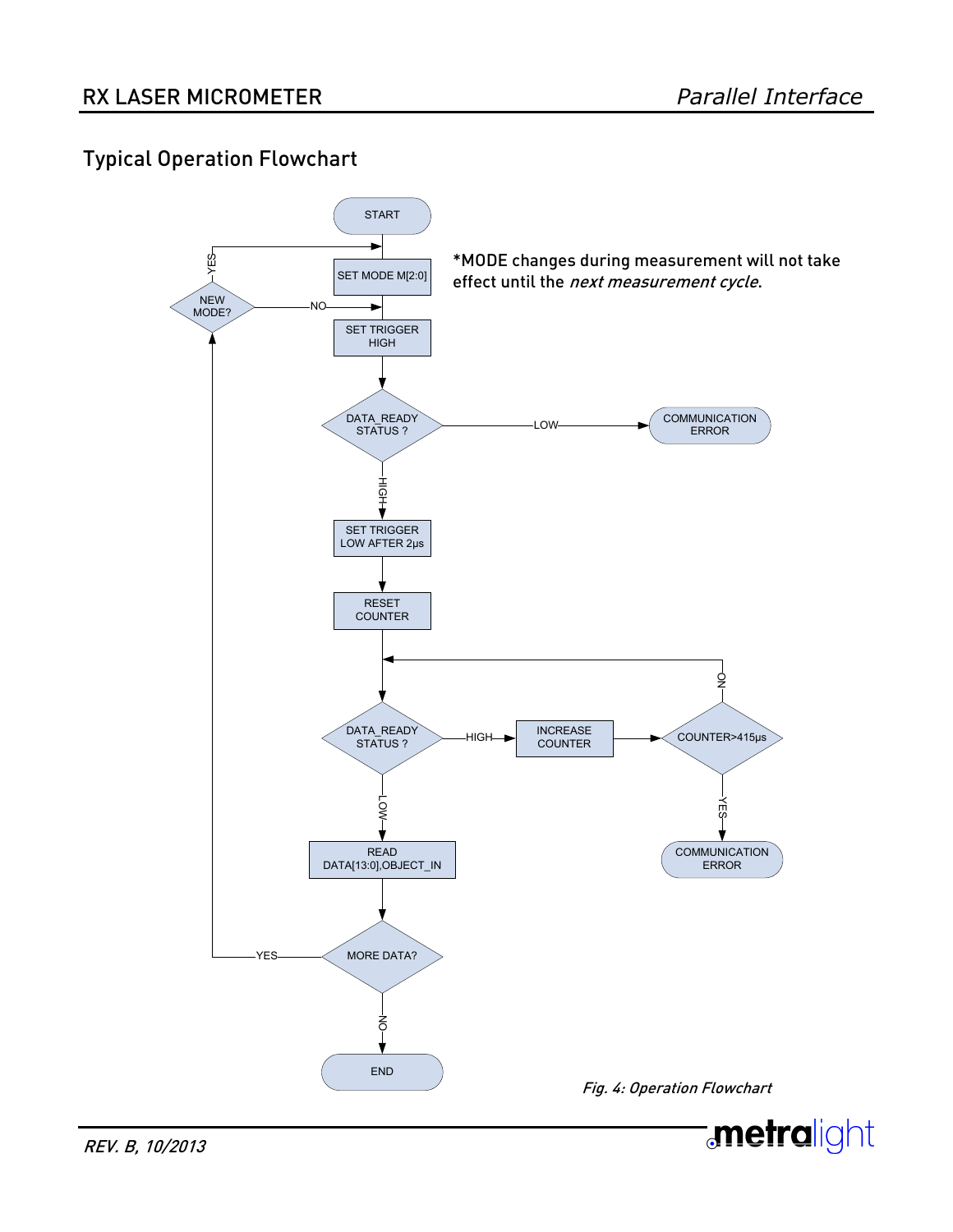## Typical Operation Flowchart

![](_page_4_Figure_3.jpeg)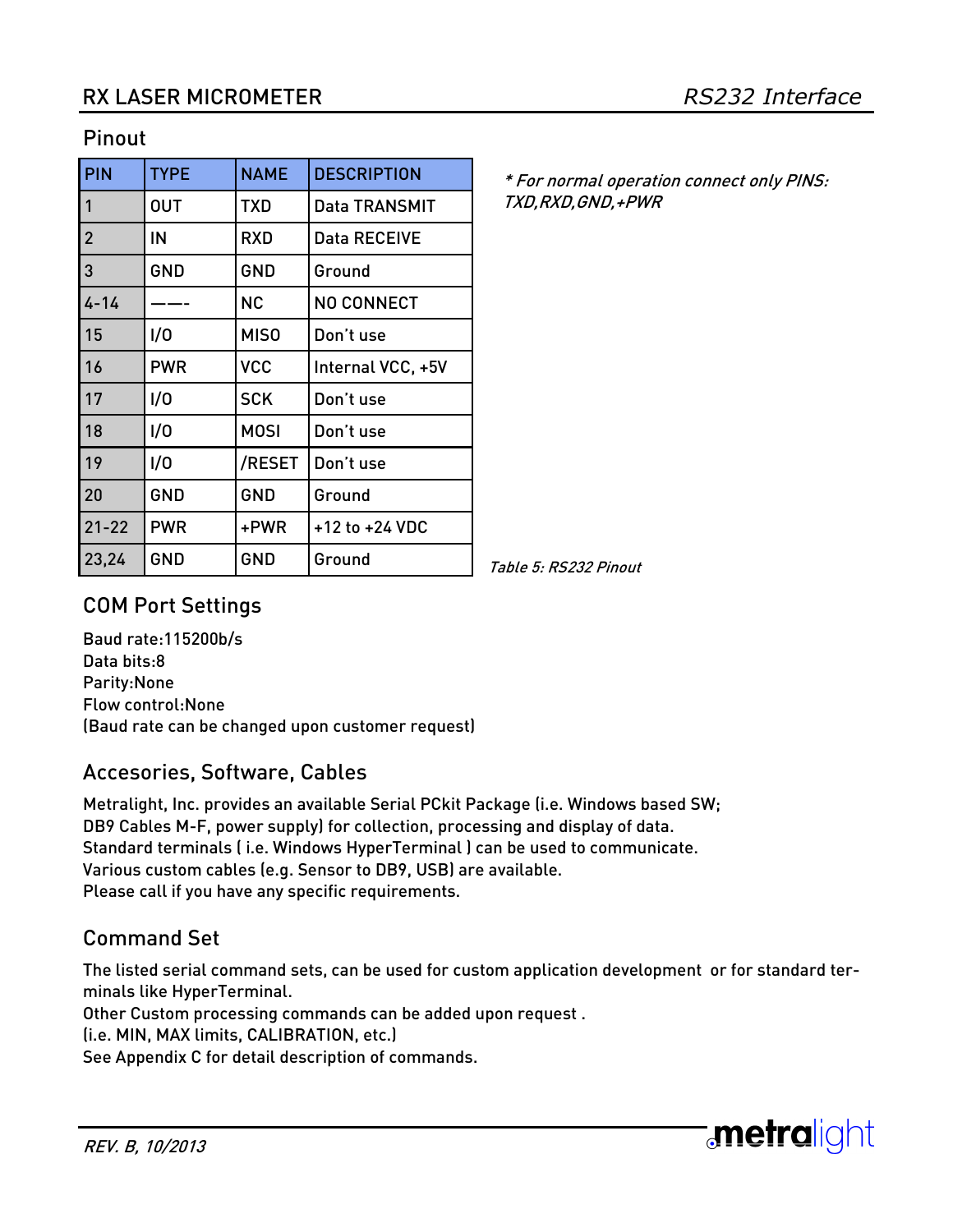#### Pinout

| PIN            | <b>TYPE</b> | <b>NAME</b>      | <b>DESCRIPTION</b>  |
|----------------|-------------|------------------|---------------------|
| 1              | <b>OUT</b>  | <b>TXD</b>       | Data TRANSMIT       |
| $\overline{2}$ | IN          | <b>RXD</b>       | <b>Data RECEIVE</b> |
| 3              | <b>GND</b>  | GND              | Ground              |
| $4 - 14$       |             | <b>NC</b>        | <b>NO CONNECT</b>   |
| 15             | 1/0         | MIS <sub>0</sub> | Don't use           |
| 16             | <b>PWR</b>  | <b>VCC</b>       | Internal VCC, +5V   |
| 17             | 1/0         | <b>SCK</b>       | Don't use           |
| 18             | 1/0         | <b>MOSI</b>      | Don't use           |
| 19             | 1/0         | /RESET           | Don't use           |
| 20             | <b>GND</b>  | GND              | Ground              |
| $21 - 22$      | <b>PWR</b>  | +PWR             | +12 to +24 VDC      |
| 23,24          | GND         | GND              | Ground              |

\* For normal operation connect only PINS: TXD,RXD,GND,+PWR

Table 5: RS232 Pinout

## COM Port Settings

Baud rate:115200b/s Data bits:8 Parity:None Flow control:None (Baud rate can be changed upon customer request)

### Accesories, Software, Cables

Metralight, Inc. provides an available Serial PCkit Package (i.e. Windows based SW; DB9 Cables M-F, power supply) for collection, processing and display of data. Standard terminals ( i.e. Windows HyperTerminal ) can be used to communicate. Various custom cables (e.g. Sensor to DB9, USB) are available. Please call if you have any specific requirements.

# Command Set

The listed serial command sets, can be used for custom application development or for standard terminals like HyperTerminal.

Other Custom processing commands can be added upon request .

(i.e. MIN, MAX limits, CALIBRATION, etc.)

See Appendix C for detail description of commands.

![](_page_5_Picture_16.jpeg)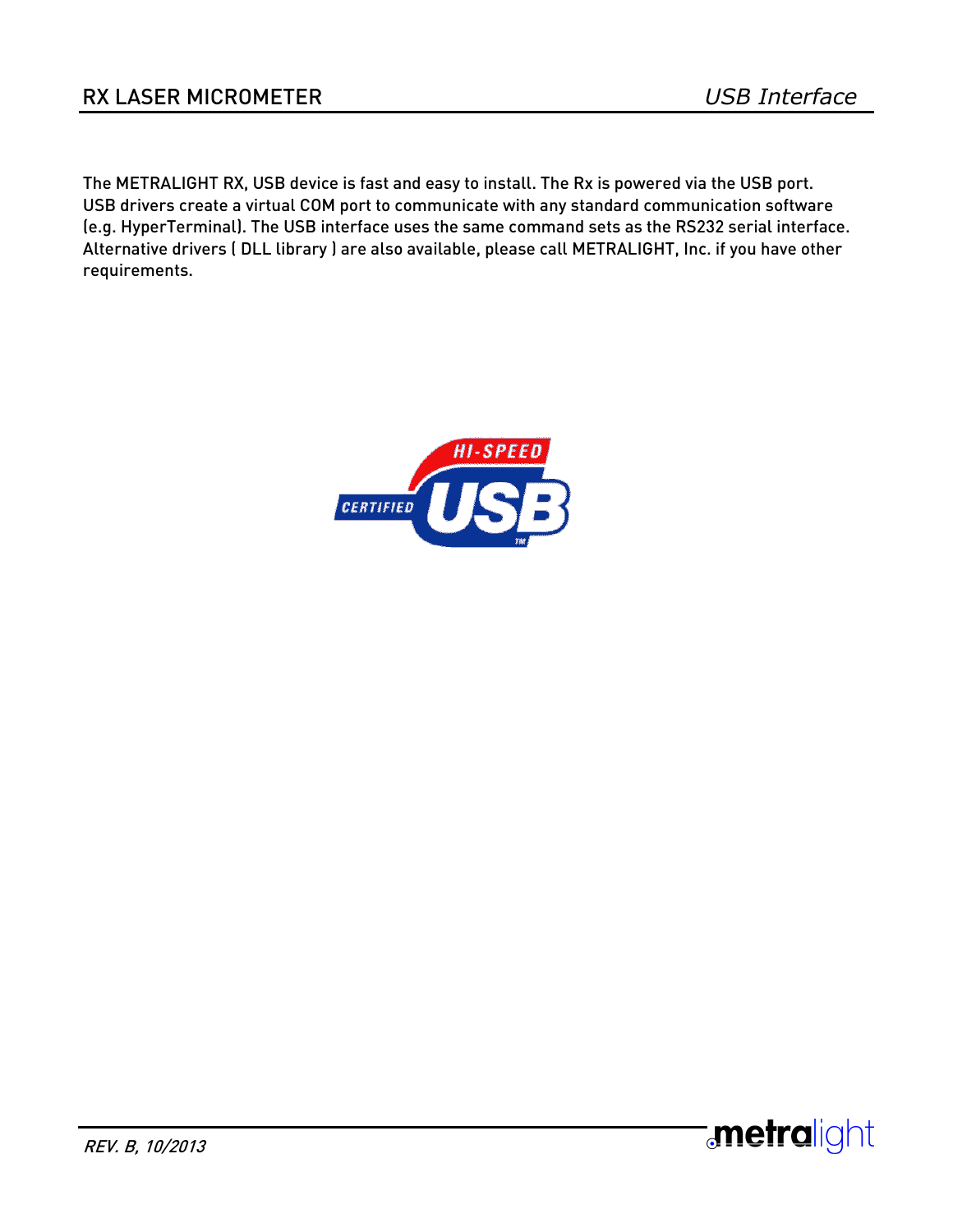The METRALIGHT RX, USB device is fast and easy to install. The Rx is powered via the USB port. USB drivers create a virtual COM port to communicate with any standard communication software (e.g. HyperTerminal). The USB interface uses the same command sets as the RS232 serial interface. Alternative drivers ( DLL library ) are also available, please call METRALIGHT, Inc. if you have other requirements.

![](_page_6_Picture_3.jpeg)

![](_page_6_Picture_4.jpeg)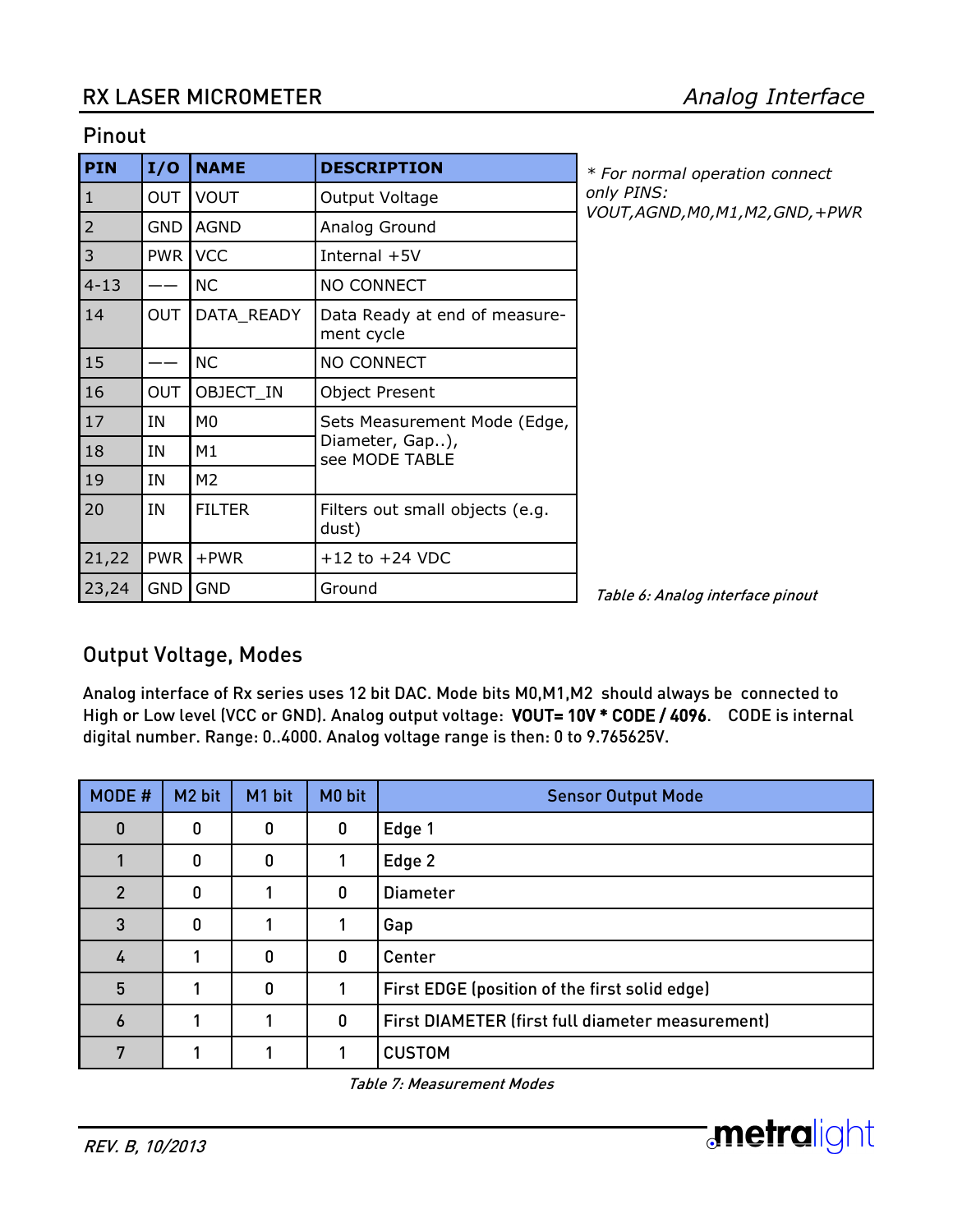#### Pinout

| PIN            | I/O        | <b>NAME</b>    | <b>DESCRIPTION</b>                          |  |
|----------------|------------|----------------|---------------------------------------------|--|
| $\mathbf{1}$   | <b>OUT</b> | <b>VOUT</b>    | Output Voltage                              |  |
| $\overline{2}$ | <b>GND</b> | <b>AGND</b>    | Analog Ground                               |  |
| 3              | <b>PWR</b> | <b>VCC</b>     | Internal +5V                                |  |
| $4 - 13$       |            | <b>NC</b>      | <b>NO CONNECT</b>                           |  |
| 14             | <b>OUT</b> | DATA_READY     | Data Ready at end of measure-<br>ment cycle |  |
| 15             |            | <b>NC</b>      | <b>NO CONNECT</b>                           |  |
| 16             | <b>OUT</b> | OBJECT IN      | <b>Object Present</b>                       |  |
| 17             | ΙN         | M <sub>0</sub> | Sets Measurement Mode (Edge,                |  |
| 18             | ΙN         | M1             | Diameter, Gap),<br>see MODE TABLE           |  |
| 19             | IN         | M <sub>2</sub> |                                             |  |
| 20             | IN         | <b>FILTER</b>  | Filters out small objects (e.g.<br>dust)    |  |
| 21,22          | <b>PWR</b> | $+$ PWR        | $+12$ to $+24$ VDC                          |  |
| 23,24          | <b>GND</b> | <b>GND</b>     | Ground                                      |  |

*\* For normal operation connect only PINS: VOUT,AGND,M0,M1,M2,GND,+PWR*

Table 6: Analog interface pinout

### Output Voltage, Modes

Analog interface of Rx series uses 12 bit DAC. Mode bits M0,M1,M2 should always be connected to High or Low level (VCC or GND). Analog output voltage: VOUT= 10V \* CODE / 4096. CODE is internal digital number. Range: 0..4000. Analog voltage range is then: 0 to 9.765625V.

| MODE #        | M <sub>2</sub> bit | M1 bit | M <sub>0</sub> bit | <b>Sensor Output Mode</b>                        |
|---------------|--------------------|--------|--------------------|--------------------------------------------------|
| O             | 0                  | 0      | 0                  | Edge 1                                           |
|               | 0                  | 0      |                    | Edge 2                                           |
| $\mathcal{P}$ | 0                  |        | $\mathbf 0$        | <b>Diameter</b>                                  |
| 3             | 0                  |        |                    | Gap                                              |
| 4             |                    | 0      | $\mathbf 0$        | Center                                           |
| 5             |                    | 0      |                    | First EDGE (position of the first solid edge)    |
| 6             |                    |        | $\mathbf 0$        | First DIAMETER (first full diameter measurement) |
|               |                    |        |                    | <b>CUSTOM</b>                                    |

Table 7: Measurement Modes

![](_page_7_Picture_11.jpeg)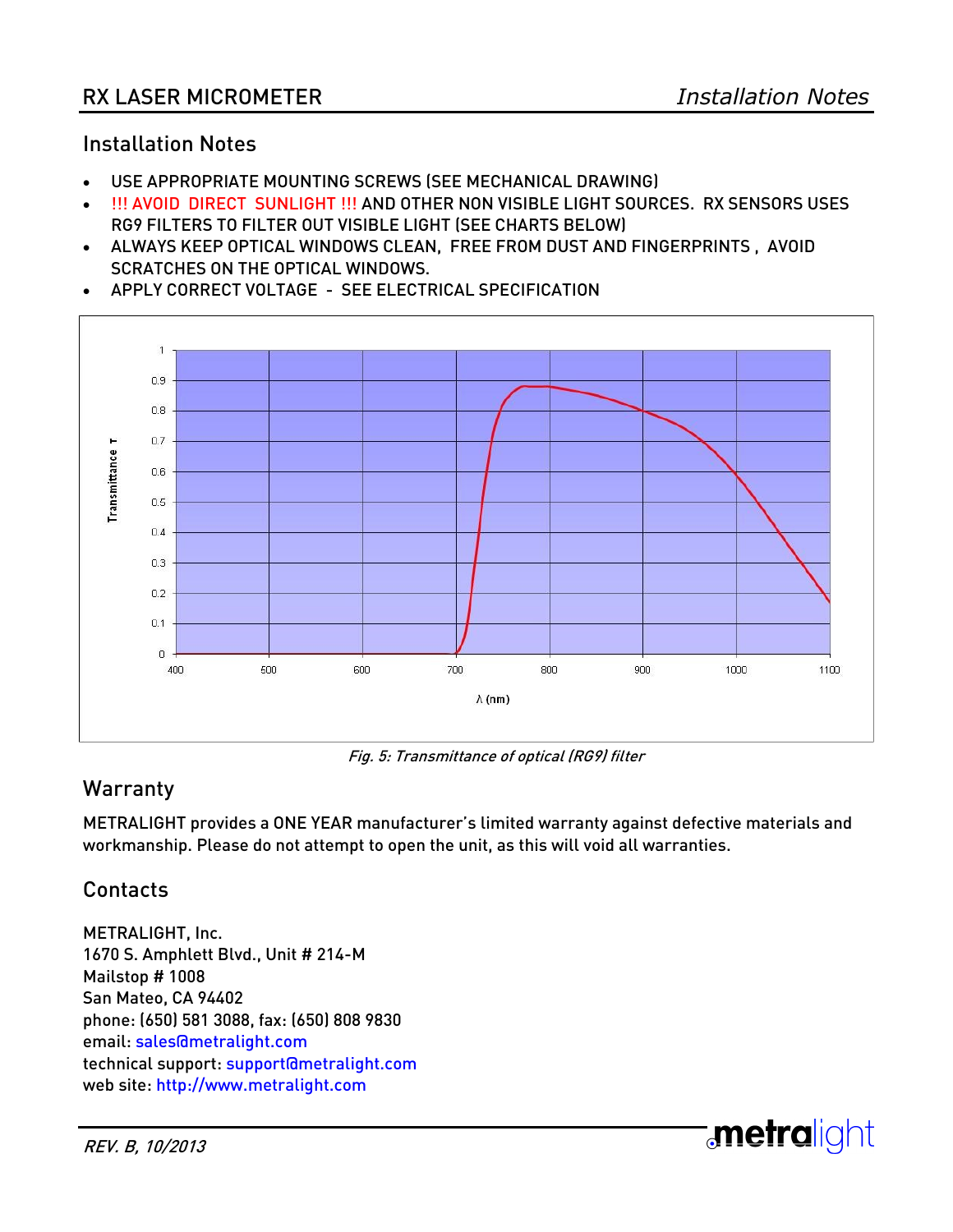#### Installation Notes

- USE APPROPRIATE MOUNTING SCREWS (SEE MECHANICAL DRAWING)
- !!! AVOID DIRECT SUNLIGHT !!! AND OTHER NON VISIBLE LIGHT SOURCES. RX SENSORS USES RG9 FILTERS TO FILTER OUT VISIBLE LIGHT (SEE CHARTS BELOW)
- ALWAYS KEEP OPTICAL WINDOWS CLEAN, FREE FROM DUST AND FINGERPRINTS , AVOID SCRATCHES ON THE OPTICAL WINDOWS.

![](_page_8_Figure_6.jpeg)

APPLY CORRECT VOLTAGE - SEE ELECTRICAL SPECIFICATION

Fig. 5: Transmittance of optical (RG9) filter

## **Warranty**

METRALIGHT provides a ONE YEAR manufacturer's limited warranty against defective materials and workmanship. Please do not attempt to open the unit, as this will void all warranties.

### Contacts

METRALIGHT, Inc. 1670 S. Amphlett Blvd., Unit # 214-M Mailstop # 1008 San Mateo, CA 94402 phone: (650) 581 3088, fax: (650) 808 9830 email: sales@metralight.com technical support: support@metralight.com web site: http://www.metralight.com

![](_page_8_Picture_13.jpeg)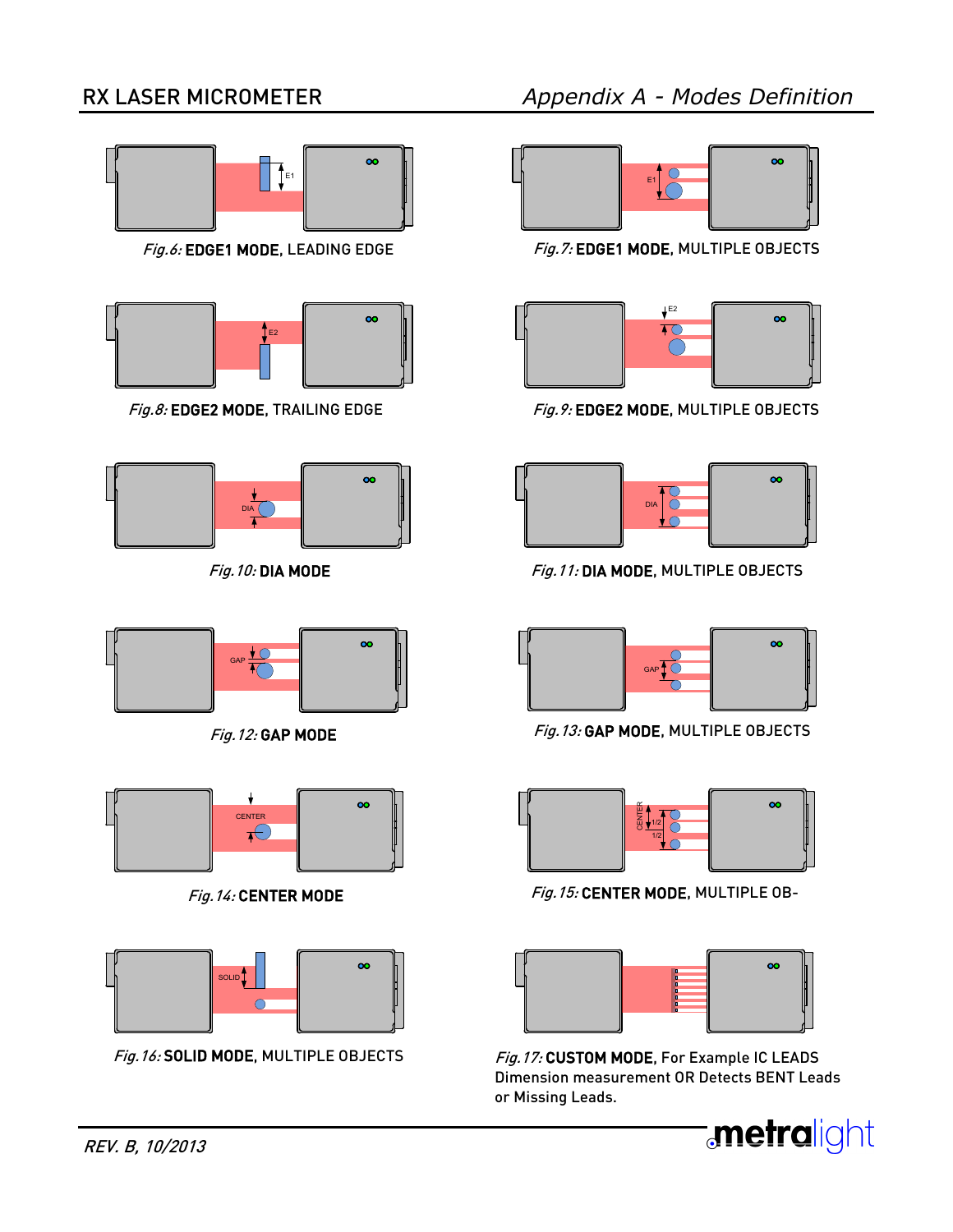# RX LASER MICROMETER

![](_page_9_Picture_3.jpeg)

![](_page_9_Picture_5.jpeg)

![](_page_9_Figure_7.jpeg)

![](_page_9_Picture_9.jpeg)

![](_page_9_Figure_11.jpeg)

![](_page_9_Picture_14.jpeg)

Fig.6: EDGE1 MODE, LEADING EDGE Fig.7: EDGE1 MODE, MULTIPLE OBJECTS

![](_page_9_Picture_16.jpeg)

Fig.8: EDGE2 MODE, TRAILING EDGE Fig.9: EDGE2 MODE, MULTIPLE OBJECTS

![](_page_9_Picture_18.jpeg)

Fig. 10: DIA MODE Fig. 11: DIA MODE, MULTIPLE OBJECTS

![](_page_9_Picture_20.jpeg)

Fig. 12: GAP MODE Fig. 13: GAP MODE, MULTIPLE OBJECTS

![](_page_9_Picture_22.jpeg)

Fig. 14: CENTER MODE Fig. 15: CENTER MODE, MULTIPLE OB-

![](_page_9_Picture_24.jpeg)

Fig.16: SOLID MODE, MULTIPLE OBJECTS Fig.17: CUSTOM MODE, For Example IC LEADS Dimension measurement OR Detects BENT Leads or Missing Leads.

![](_page_9_Picture_26.jpeg)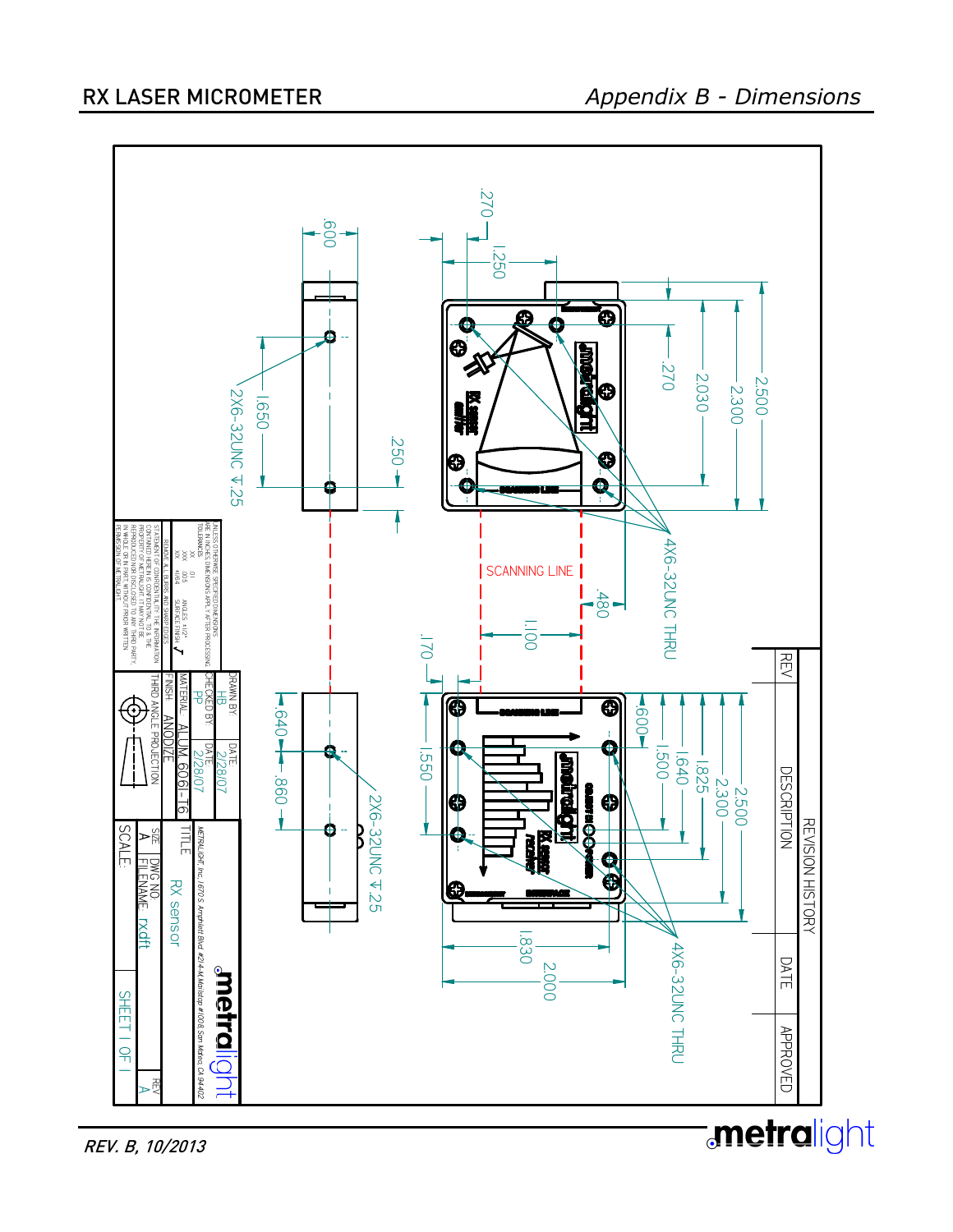![](_page_10_Figure_2.jpeg)